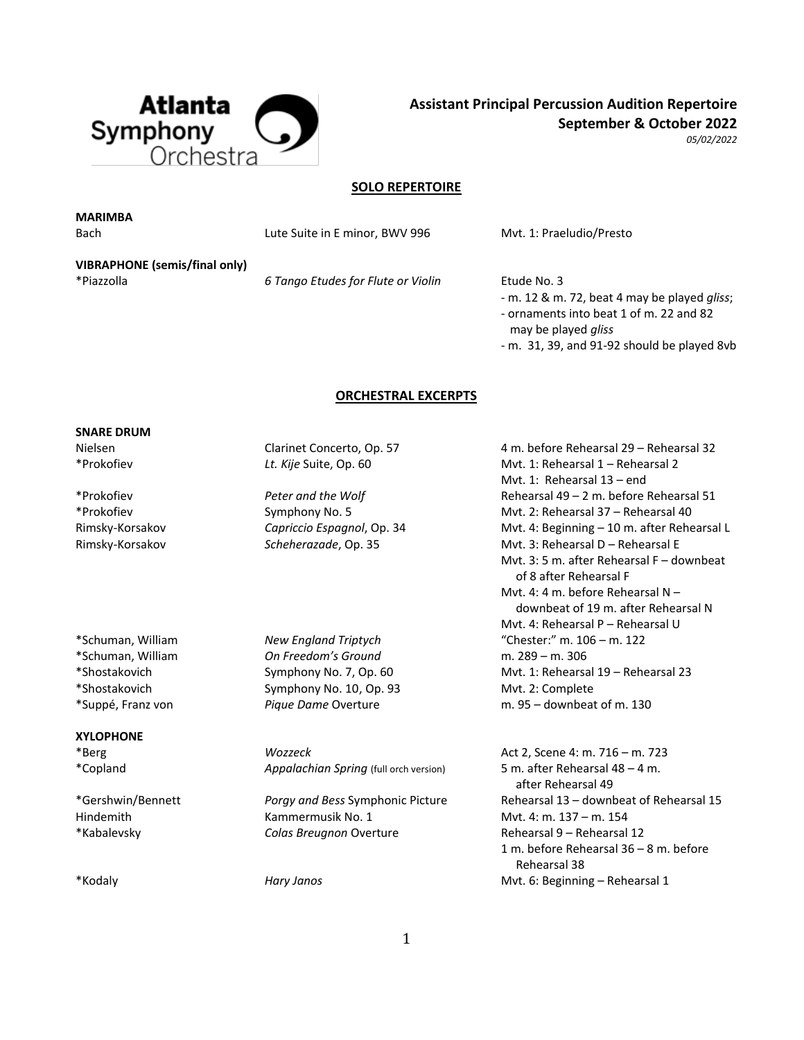

**Assistant Principal Percussion Audition Repertoire September & October 2022**

*05/02/2022*

## **SOLO REPERTOIRE**

**MARIMBA**

Bach Bach Lute Suite in E minor, BWV 996 Mvt. 1: Praeludio/Presto

**VIBRAPHONE (semis/final only)** \*Piazzolla *6 Tango Etudes for Flute or Violin* Etude No. 3

- m. 12 & m. 72, beat 4 may be played *gliss*; - ornaments into beat 1 of m. 22 and 82 may be played *gliss*

- m. 31, 39, and 91-92 should be played 8vb

#### **ORCHESTRAL EXCERPTS**

#### **SNARE DRUM**

### **XYLOPHONE**

\*Schuman, William *On Freedom's Ground* m. 289 – m. 306 \*Shostakovich Symphony No. 10, Op. 93 Mvt. 2: Complete \*Suppé, Franz von *Pique Dame* Overture m. 95 – downbeat of m. 130

\*Copland *Appalachian Spring* (full orch version) 5 m. after Rehearsal 48 – 4 m.

Hindemith Kammermusik No. 1 Mvt. 4: m. 137 – m. 154 \*Kabalevsky *Colas Breugnon* Overture Rehearsal 9 – Rehearsal 12

Nielsen Clarinet Concerto, Op. 57 4 m. before Rehearsal 29 – Rehearsal 32 \*Prokofiev *Lt. Kije* Suite, Op. 60 Mvt. 1: Rehearsal 1 – Rehearsal 2 Mvt. 1: Rehearsal 13 – end \*Prokofiev *Peter and the Wolf* Rehearsal 49 – 2 m. before Rehearsal 51 \*Prokofiev Symphony No. 5 Mvt. 2: Rehearsal 37 – Rehearsal 40 Rimsky-Korsakov *Capriccio Espagnol*, Op. 34 Mvt. 4: Beginning – 10 m. after Rehearsal L Rimsky-Korsakov **Scheherazade, Op. 35** Mvt. 3: Rehearsal D – Rehearsal E Mvt. 3: 5 m. after Rehearsal F – downbeat of 8 after Rehearsal F Mvt. 4: 4 m. before Rehearsal N – downbeat of 19 m. after Rehearsal N Mvt. 4: Rehearsal P – Rehearsal U \*Schuman, William *New England Triptych* "Chester:" m. 106 – m. 122 \*Shostakovich Symphony No. 7, Op. 60 Mvt. 1: Rehearsal 19 – Rehearsal 23

\*Berg *Wozzeck* Act 2, Scene 4: m. 716 – m. 723 after Rehearsal 49 \*Gershwin/Bennett *Porgy and Bess* Symphonic Picture Rehearsal 13 – downbeat of Rehearsal 15 1 m. before Rehearsal 36 – 8 m. before Rehearsal 38 \*Kodaly *Hary Janos* Mvt. 6: Beginning – Rehearsal 1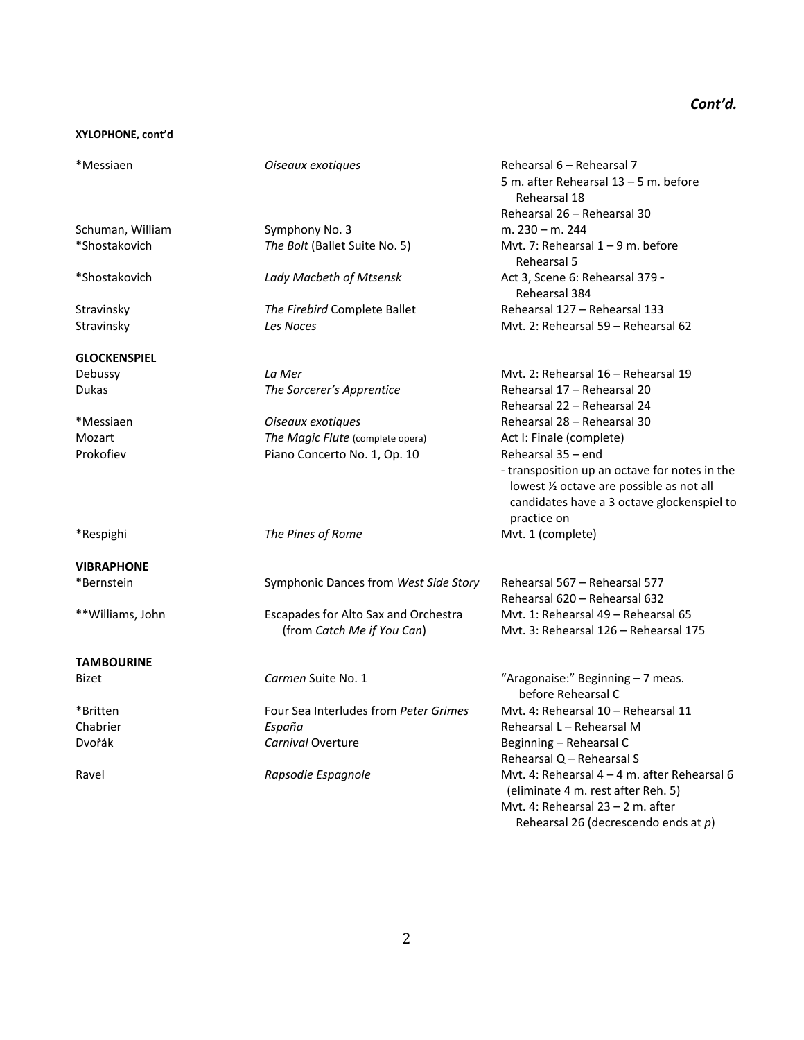# *Cont'd.*

### **XYLOPHONE, cont'd**

| *Messiaen                         | Oiseaux exotiques                     | Rehearsal 6 - Rehearsal 7<br>5 m. after Rehearsal 13 - 5 m. before                                                                                      |
|-----------------------------------|---------------------------------------|---------------------------------------------------------------------------------------------------------------------------------------------------------|
|                                   |                                       | Rehearsal 18                                                                                                                                            |
|                                   |                                       | Rehearsal 26 - Rehearsal 30                                                                                                                             |
| Schuman, William<br>*Shostakovich | Symphony No. 3                        | m. $230 - m. 244$<br>Mvt. 7: Rehearsal $1 - 9$ m. before                                                                                                |
|                                   | The Bolt (Ballet Suite No. 5)         | Rehearsal 5                                                                                                                                             |
| *Shostakovich                     | Lady Macbeth of Mtsensk               | Act 3, Scene 6: Rehearsal 379 -<br>Rehearsal 384                                                                                                        |
| Stravinsky                        | The Firebird Complete Ballet          | Rehearsal 127 - Rehearsal 133                                                                                                                           |
| Stravinsky                        | Les Noces                             | Myt. 2: Rehearsal 59 - Rehearsal 62                                                                                                                     |
| <b>GLOCKENSPIEL</b>               |                                       |                                                                                                                                                         |
| Debussy                           | La Mer                                | Myt. 2: Rehearsal 16 - Rehearsal 19                                                                                                                     |
| Dukas                             | The Sorcerer's Apprentice             | Rehearsal 17 - Rehearsal 20<br>Rehearsal 22 - Rehearsal 24                                                                                              |
| *Messiaen                         | Oiseaux exotiques                     | Rehearsal 28 - Rehearsal 30                                                                                                                             |
| Mozart                            | The Magic Flute (complete opera)      | Act I: Finale (complete)                                                                                                                                |
| Prokofiev                         | Piano Concerto No. 1, Op. 10          | Rehearsal 35 - end                                                                                                                                      |
|                                   |                                       | - transposition up an octave for notes in the<br>lowest 1/2 octave are possible as not all<br>candidates have a 3 octave glockenspiel to<br>practice on |
| *Respighi                         | The Pines of Rome                     | Mvt. 1 (complete)                                                                                                                                       |
| <b>VIBRAPHONE</b>                 |                                       |                                                                                                                                                         |
| *Bernstein                        | Symphonic Dances from West Side Story | Rehearsal 567 - Rehearsal 577<br>Rehearsal 620 - Rehearsal 632                                                                                          |
| **Williams, John                  | Escapades for Alto Sax and Orchestra  | Myt. 1: Rehearsal 49 - Rehearsal 65                                                                                                                     |
|                                   | (from Catch Me if You Can)            | Myt. 3: Rehearsal 126 - Rehearsal 175                                                                                                                   |
| <b>TAMBOURINE</b>                 |                                       |                                                                                                                                                         |
| Bizet                             | Carmen Suite No. 1                    | "Aragonaise:" Beginning - 7 meas.<br>before Rehearsal C                                                                                                 |
| *Britten                          | Four Sea Interludes from Peter Grimes | Myt. 4: Rehearsal 10 - Rehearsal 11                                                                                                                     |
| Chabrier                          | España                                | Rehearsal L - Rehearsal M                                                                                                                               |
| Dvořák                            | Carnival Overture                     | Beginning - Rehearsal C                                                                                                                                 |
|                                   |                                       | Rehearsal Q - Rehearsal S                                                                                                                               |
| Ravel                             | Rapsodie Espagnole                    | Mvt. 4: Rehearsal 4 - 4 m. after Rehearsal 6<br>(eliminate 4 m. rest after Reh. 5)<br>Myt. 4: Rehearsal $23 - 2$ m. after                               |
|                                   |                                       | Rehearsal 26 (decrescendo ends at $p$ )                                                                                                                 |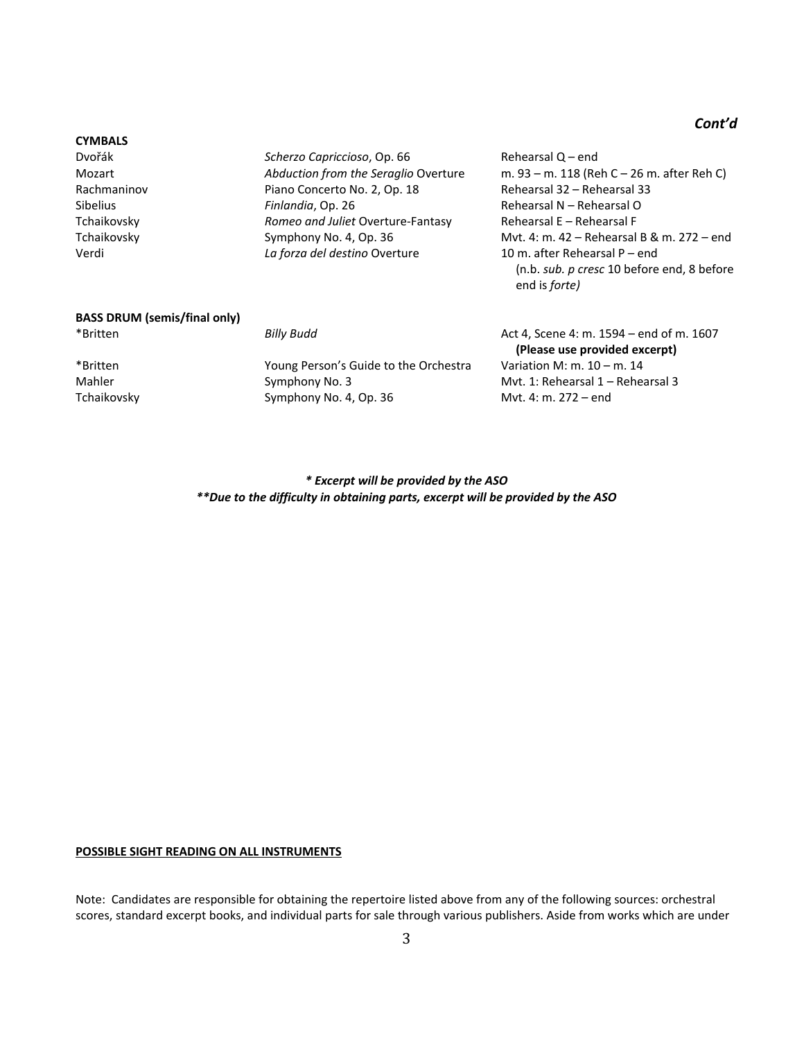# *Cont'd*

#### **CYMBALS**

Dvořák *Scherzo Capriccioso*, Op. 66 Rehearsal Q – end Rachmaninov **Piano Concerto No. 2, Op. 18** Rehearsal 32 – Rehearsal 33 Sibelius **Finlandia**, Op. 26 Rehearsal N – Rehearsal O Tchaikovsky *Romeo and Juliet* Overture-Fantasy Rehearsal E – Rehearsal F Verdi *La forza del destino* Overture 10 m. after Rehearsal P – end

Mozart *Abduction from the Seraglio* Overture m. 93 – m. 118 (Reh C – 26 m. after Reh C) Tchaikovsky Symphony No. 4, Op. 36 Mvt. 4: m. 42 – Rehearsal B & m. 272 – end (n.b. *sub. p cresc* 10 before end, 8 before end is *forte)*

# **BASS DRUM (semis/final only)**

\*Britten Young Person's Guide to the Orchestra Variation M: m. 10 – m. 14 Mahler Symphony No. 3 Mvt. 1: Rehearsal 1 – Rehearsal 3 Tchaikovsky Symphony No. 4, Op. 36 Mvt. 4: m. 272 – end

\*Britten *Billy Budd* Act 4, Scene 4: m. 1594 – end of m. 1607 **(Please use provided excerpt)**

> *\* Excerpt will be provided by the ASO \*\*Due to the difficulty in obtaining parts, excerpt will be provided by the ASO*

#### **POSSIBLE SIGHT READING ON ALL INSTRUMENTS**

Note: Candidates are responsible for obtaining the repertoire listed above from any of the following sources: orchestral scores, standard excerpt books, and individual parts for sale through various publishers. Aside from works which are under